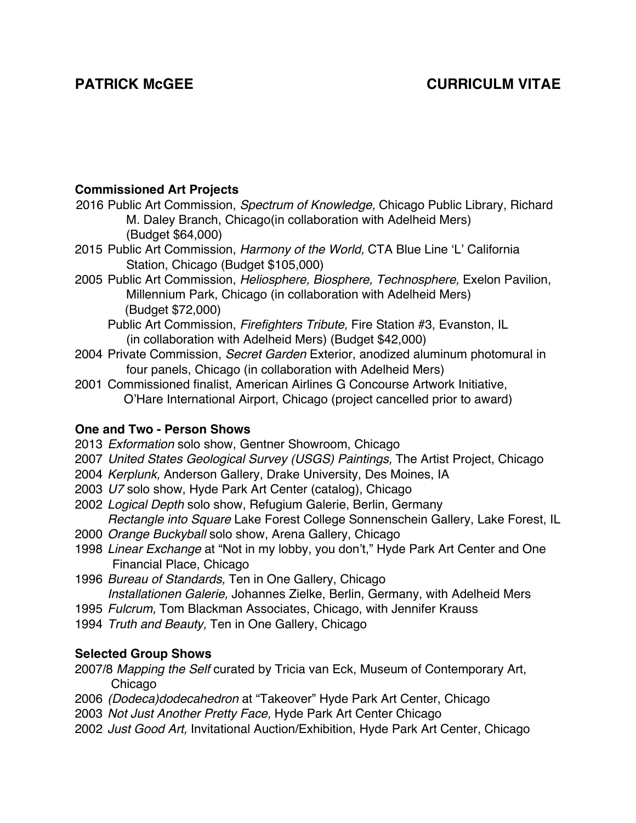#### **Commissioned Art Projects**

- 2016 Public Art Commission, *Spectrum of Knowledge,* Chicago Public Library, Richard M. Daley Branch, Chicago(in collaboration with Adelheid Mers) (Budget \$64,000)
- 2015 Public Art Commission, *Harmony of the World,* CTA Blue Line 'L' California Station, Chicago (Budget \$105,000)
- 2005 Public Art Commission, *Heliosphere, Biosphere, Technosphere,* Exelon Pavilion, Millennium Park, Chicago (in collaboration with Adelheid Mers) (Budget \$72,000)
	- Public Art Commission, *Firefighters Tribute,* Fire Station #3, Evanston, IL (in collaboration with Adelheid Mers) (Budget \$42,000)
- 2004 Private Commission, *Secret Garden* Exterior, anodized aluminum photomural in four panels, Chicago (in collaboration with Adelheid Mers)
- 2001 Commissioned finalist, American Airlines G Concourse Artwork Initiative, O'Hare International Airport, Chicago (project cancelled prior to award)

#### **One and Two - Person Shows**

- 2013 *Exformation* solo show, Gentner Showroom, Chicago
- 2007 *United States Geological Survey (USGS) Paintings,* The Artist Project, Chicago
- 2004 *Kerplunk,* Anderson Gallery, Drake University, Des Moines, IA
- 2003 *U7* solo show, Hyde Park Art Center (catalog), Chicago
- 2002 *Logical Depth* solo show, Refugium Galerie, Berlin, Germany *Rectangle into Square* Lake Forest College Sonnenschein Gallery, Lake Forest, IL
- 2000 *Orange Buckyball* solo show, Arena Gallery, Chicago
- 1998 *Linear Exchange* at "Not in my lobby, you don't," Hyde Park Art Center and One Financial Place, Chicago
- 1996 *Bureau of Standards,* Ten in One Gallery, Chicago *Installationen Galerie,* Johannes Zielke, Berlin, Germany, with Adelheid Mers
- 1995 *Fulcrum,* Tom Blackman Associates, Chicago, with Jennifer Krauss
- 1994 *Truth and Beauty,* Ten in One Gallery, Chicago

# **Selected Group Shows**

- 2007/8 *Mapping the Self* curated by Tricia van Eck, Museum of Contemporary Art, Chicago
- 2006 *(Dodeca)dodecahedron* at "Takeover" Hyde Park Art Center, Chicago
- 2003 *Not Just Another Pretty Face,* Hyde Park Art Center Chicago
- 2002 *Just Good Art,* Invitational Auction/Exhibition, Hyde Park Art Center, Chicago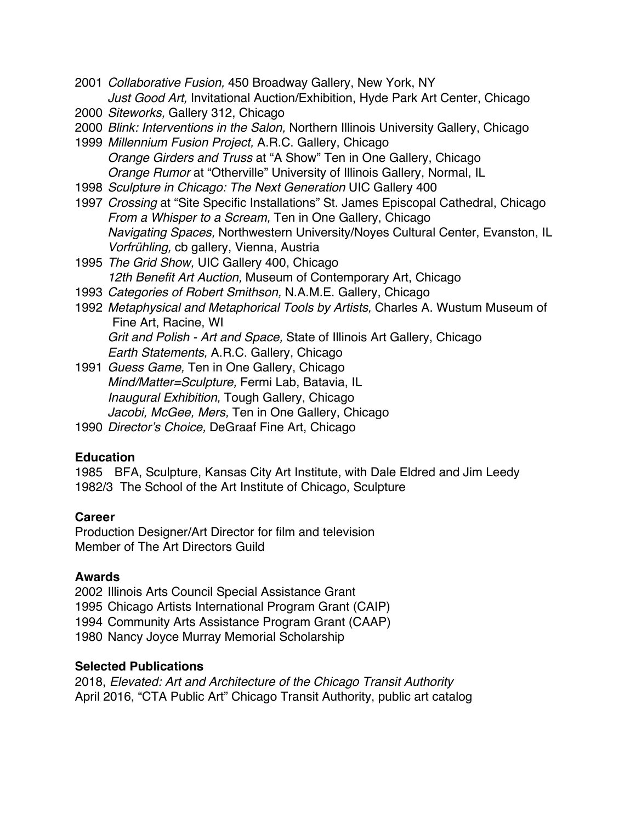- 2001 *Collaborative Fusion,* 450 Broadway Gallery, New York, NY *Just Good Art,* Invitational Auction/Exhibition, Hyde Park Art Center, Chicago
- 2000 *Siteworks,* Gallery 312, Chicago
- 2000 *Blink: Interventions in the Salon,* Northern Illinois University Gallery, Chicago
- 1999 *Millennium Fusion Project,* A.R.C. Gallery, Chicago *Orange Girders and Truss* at "A Show" Ten in One Gallery, Chicago *Orange Rumor* at "Otherville" University of Illinois Gallery, Normal, IL
- 1998 *Sculpture in Chicago: The Next Generation* UIC Gallery 400
- 1997 *Crossing* at "Site Specific Installations" St. James Episcopal Cathedral, Chicago *From a Whisper to a Scream,* Ten in One Gallery, Chicago *Navigating Spaces,* Northwestern University/Noyes Cultural Center, Evanston, IL *Vorfrühling,* cb gallery, Vienna, Austria
- 1995 *The Grid Show,* UIC Gallery 400, Chicago *12th Benefit Art Auction,* Museum of Contemporary Art, Chicago
- 1993 *Categories of Robert Smithson,* N.A.M.E. Gallery, Chicago
- 1992 *Metaphysical and Metaphorical Tools by Artists,* Charles A. Wustum Museum of Fine Art, Racine, WI *Grit and Polish - Art and Space,* State of Illinois Art Gallery, Chicago *Earth Statements,* A.R.C. Gallery, Chicago
- 1991 *Guess Game,* Ten in One Gallery, Chicago *Mind/Matter=Sculpture,* Fermi Lab, Batavia, IL *Inaugural Exhibition,* Tough Gallery, Chicago *Jacobi, McGee, Mers,* Ten in One Gallery, Chicago
- 1990 *Director's Choice,* DeGraaf Fine Art, Chicago

# **Education**

1985 BFA, Sculpture, Kansas City Art Institute, with Dale Eldred and Jim Leedy 1982/3 The School of the Art Institute of Chicago, Sculpture

# **Career**

Production Designer/Art Director for film and television Member of The Art Directors Guild

# **Awards**

 Illinois Arts Council Special Assistance Grant Chicago Artists International Program Grant (CAIP) Community Arts Assistance Program Grant (CAAP) Nancy Joyce Murray Memorial Scholarship

# **Selected Publications**

2018, *Elevated: Art and Architecture of the Chicago Transit Authority*  April 2016, "CTA Public Art" Chicago Transit Authority, public art catalog